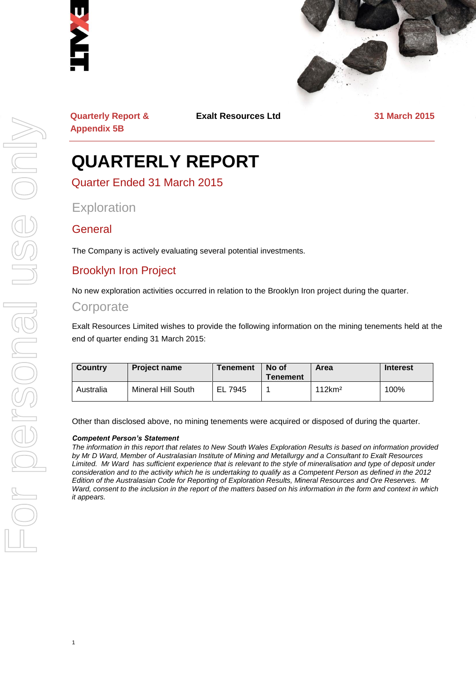



**Quarterly Report & Appendix 5B**

**Exalt Resources Ltd 31 March 2015**

## **QUARTERLY REPORT**

Quarter Ended 31 March 2015

**Exploration** 

#### **General**

The Company is actively evaluating several potential investments.

#### Brooklyn Iron Project

No new exploration activities occurred in relation to the Brooklyn Iron project during the quarter.

#### **Corporate**

Exalt Resources Limited wishes to provide the following information on the mining tenements held at the end of quarter ending 31 March 2015:

| Country   | <b>Project name</b>       | <b>Tenement</b> | No of<br><b>Tenement</b> | Area               | <b>Interest</b> |
|-----------|---------------------------|-----------------|--------------------------|--------------------|-----------------|
| Australia | <b>Mineral Hill South</b> | EL 7945         |                          | 112km <sup>2</sup> | 100%            |

Other than disclosed above, no mining tenements were acquired or disposed of during the quarter.

#### *Competent Person's Statement*

1

*The information in this report that relates to New South Wales Exploration Results is based on information provided by Mr D Ward, Member of Australasian Institute of Mining and Metallurgy and a Consultant to Exalt Resources Limited. Mr Ward has sufficient experience that is relevant to the style of mineralisation and type of deposit under consideration and to the activity which he is undertaking to qualify as a Competent Person as defined in the 2012 Edition of the Australasian Code for Reporting of Exploration Results, Mineral Resources and Ore Reserves. Mr Ward, consent to the inclusion in the report of the matters based on his information in the form and context in which it appears.*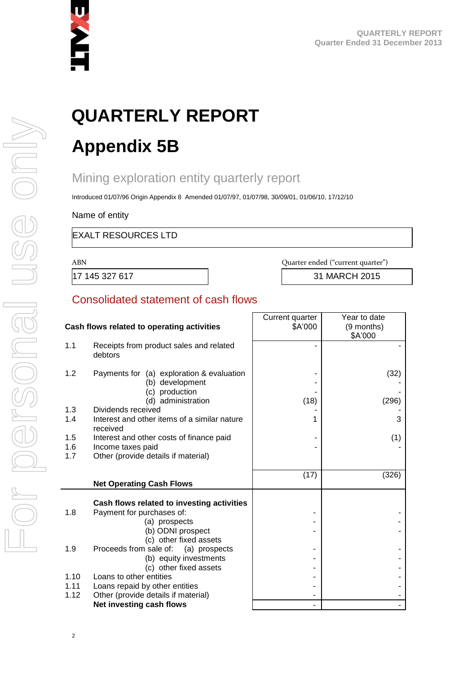

# **QUARTERLY REPORT**

## **Appendix 5B**

### Mining exploration entity quarterly report

Introduced 01/07/96 Origin Appendix 8 Amended 01/07/97, 01/07/98, 30/09/01, 01/06/10, 17/12/10

Name of entity

EXALT RESOURCES LTD

ABN Quarter ended ("current quarter")

17 145 327 617 31 MARCH 2015

#### Consolidated statement of cash flows

|            |                                                                    | Current quarter | Year to date          |
|------------|--------------------------------------------------------------------|-----------------|-----------------------|
|            | Cash flows related to operating activities                         | \$A'000         | (9 months)<br>\$A'000 |
| 1.1        | Receipts from product sales and related<br>debtors                 |                 |                       |
| 1.2        | Payments for (a) exploration & evaluation                          |                 | (32)                  |
|            | (b) development                                                    |                 |                       |
|            | (c) production                                                     |                 |                       |
|            | (d) administration                                                 | (18)            | (296)                 |
| 1.3<br>1.4 | Dividends received<br>Interest and other items of a similar nature | 1               | 3                     |
|            | received                                                           |                 |                       |
| 1.5        | Interest and other costs of finance paid                           |                 | (1)                   |
| 1.6        | Income taxes paid                                                  |                 |                       |
| 1.7        | Other (provide details if material)                                |                 |                       |
|            |                                                                    | (17)            | (326)                 |
|            | <b>Net Operating Cash Flows</b>                                    |                 |                       |
|            |                                                                    |                 |                       |
|            | Cash flows related to investing activities                         |                 |                       |
| 1.8        | Payment for purchases of:                                          |                 |                       |
|            | (a) prospects                                                      |                 |                       |
|            | (b) ODNI prospect                                                  |                 |                       |
|            | (c) other fixed assets                                             |                 |                       |
| 1.9        | Proceeds from sale of:<br>(a) prospects<br>(b) equity investments  |                 |                       |
|            | (c) other fixed assets                                             |                 |                       |
| 1.10       | Loans to other entities                                            |                 |                       |
| 1.11       | Loans repaid by other entities                                     |                 |                       |
| 1.12       | Other (provide details if material)                                |                 |                       |
|            | Net investing cash flows                                           |                 |                       |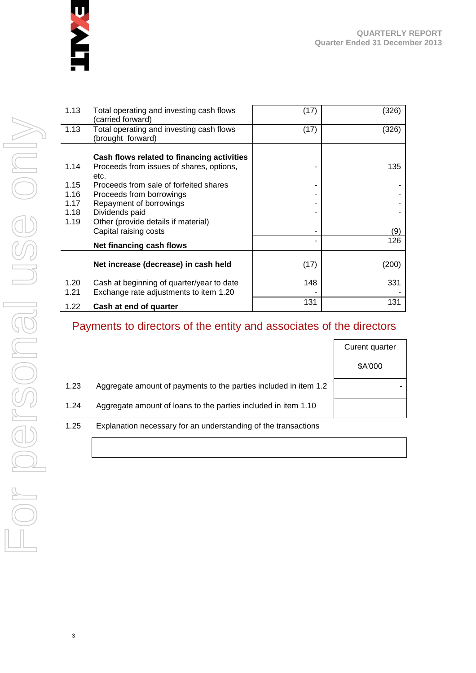

| 1.13 | Total operating and investing cash flows   | (17) | (326) |
|------|--------------------------------------------|------|-------|
|      | (carried forward)                          |      |       |
|      |                                            |      |       |
| 1.13 | Total operating and investing cash flows   | (17) | (326) |
|      | (brought forward)                          |      |       |
|      |                                            |      |       |
|      | Cash flows related to financing activities |      |       |
| 1.14 | Proceeds from issues of shares, options,   |      | 135   |
|      | etc.                                       |      |       |
| 1.15 |                                            |      |       |
|      | Proceeds from sale of forfeited shares     |      |       |
| 1.16 | Proceeds from borrowings                   |      |       |
| 1.17 | Repayment of borrowings                    |      |       |
| 1.18 | Dividends paid                             |      |       |
| 1.19 | Other (provide details if material)        |      |       |
|      | Capital raising costs                      |      | (9)   |
|      |                                            |      |       |
|      | Net financing cash flows                   |      | 126   |
|      |                                            |      |       |
|      | Net increase (decrease) in cash held       | (17) | (200) |
|      |                                            |      |       |
|      |                                            |      |       |
| 1.20 | Cash at beginning of quarter/year to date  | 148  | 331   |
| 1.21 | Exchange rate adjustments to item 1.20     |      |       |
|      |                                            | 131  | 131   |
| 1.22 | Cash at end of quarter                     |      |       |

#### Payments to directors of the entity and associates of the directors

|      |                                                                  | Curent quarter |
|------|------------------------------------------------------------------|----------------|
|      |                                                                  | \$A'000        |
| 1.23 | Aggregate amount of payments to the parties included in item 1.2 |                |
| 1.24 | Aggregate amount of loans to the parties included in item 1.10   |                |
| 1.25 | Explanation necessary for an understanding of the transactions   |                |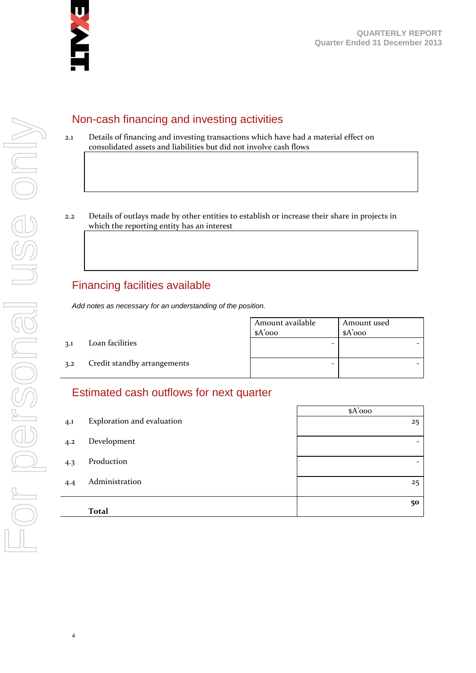

#### Non-cash financing and investing activities

- 2.1 Details of financing and investing transactions which have had a material effect on consolidated assets and liabilities but did not involve cash flows
- 2.2 Details of outlays made by other entities to establish or increase their share in projects in which the reporting entity has an interest

#### Financing facilities available

*Add notes as necessary for an understanding of the position.*

Amount available \$A'000 Amount used \$A'000 3.1 Loan facilities - - 3.2 Credit standby arrangements and  $\overline{a}$  -  $\overline{a}$  -  $\overline{a}$  -  $\overline{a}$  -  $\overline{a}$ 

#### Estimated cash outflows for next quarter

|     |                            | $A'$ 000                 |
|-----|----------------------------|--------------------------|
| 4.1 | Exploration and evaluation | 25                       |
| 4.2 | Development                | $\overline{\phantom{0}}$ |
| 4.3 | Production                 | $\overline{\phantom{0}}$ |
| 4.4 | Administration             | 25                       |
|     | <b>Total</b>               | 50                       |

4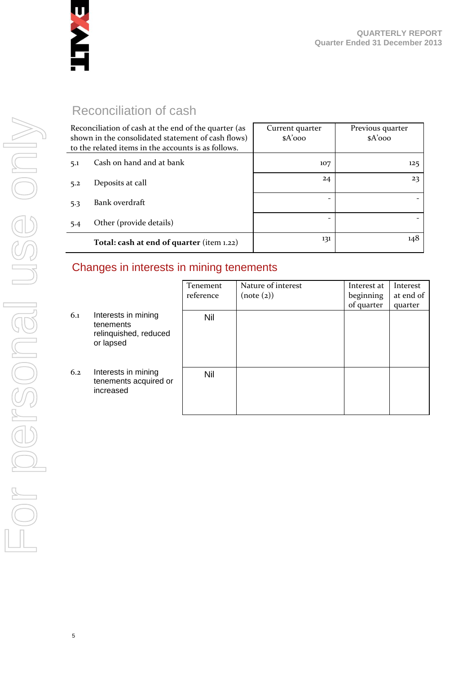

#### Reconciliation of cash

| Reconciliation of cash at the end of the quarter (as<br>shown in the consolidated statement of cash flows)<br>to the related items in the accounts is as follows. |                                           | Current quarter<br>$A'$ 000 | Previous quarter<br>$A'$ 000 |
|-------------------------------------------------------------------------------------------------------------------------------------------------------------------|-------------------------------------------|-----------------------------|------------------------------|
| 5.1                                                                                                                                                               | Cash on hand and at bank                  | 107                         | 125                          |
| 5.2                                                                                                                                                               | Deposits at call                          | 24                          | 23                           |
| 5.3                                                                                                                                                               | Bank overdraft                            |                             |                              |
| 5.4                                                                                                                                                               | Other (provide details)                   | $\overline{\phantom{a}}$    |                              |
|                                                                                                                                                                   | Total: cash at end of quarter (item 1.22) | 131                         | 148                          |

#### Changes in interests in mining tenements

|     |                                                                        | Tenement<br>reference | Nature of interest<br>(note (2)) | Interest at<br>beginning<br>of quarter | Interest<br>at end of<br>quarter |
|-----|------------------------------------------------------------------------|-----------------------|----------------------------------|----------------------------------------|----------------------------------|
| 6.1 | Interests in mining<br>tenements<br>relinquished, reduced<br>or lapsed | Nil                   |                                  |                                        |                                  |
| 6.2 | Interests in mining<br>tenements acquired or<br>increased              | Nil                   |                                  |                                        |                                  |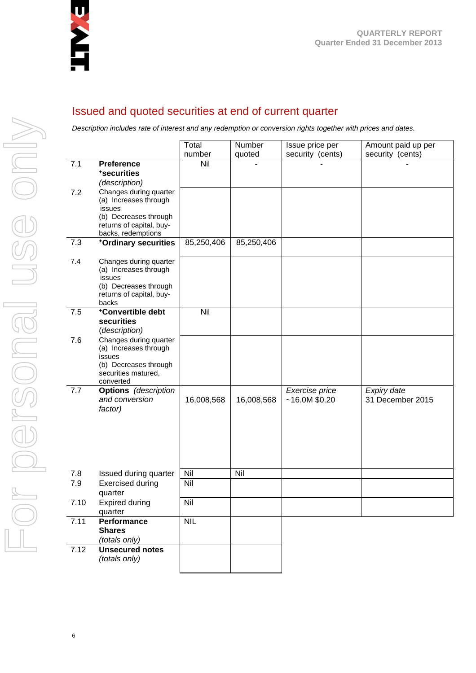

#### Issued and quoted securities at end of current quarter

*Description includes rate of interest and any redemption or conversion rights together with prices and dates.*

|      |                                                                                                                                      | Total<br>number | Number     | Issue price per                 | Amount paid up per<br>security (cents) |
|------|--------------------------------------------------------------------------------------------------------------------------------------|-----------------|------------|---------------------------------|----------------------------------------|
| 7.1  | <b>Preference</b><br>*securities<br>(description)                                                                                    | Nil             | quoted     | security (cents)                |                                        |
| 7.2  | Changes during quarter<br>(a) Increases through<br>issues<br>(b) Decreases through<br>returns of capital, buy-<br>backs, redemptions |                 |            |                                 |                                        |
| 7.3  | +Ordinary securities                                                                                                                 | 85,250,406      | 85,250,406 |                                 |                                        |
| 7.4  | Changes during quarter<br>(a) Increases through<br>issues<br>(b) Decreases through<br>returns of capital, buy-<br>backs              |                 |            |                                 |                                        |
| 7.5  | +Convertible debt<br>securities<br>(description)                                                                                     | Nil             |            |                                 |                                        |
| 7.6  | Changes during quarter<br>(a) Increases through<br>issues<br>(b) Decreases through<br>securities matured,<br>converted               |                 |            |                                 |                                        |
| 7.7  | <b>Options</b> (description<br>and conversion<br>factor)                                                                             | 16,008,568      | 16,008,568 | Exercise price<br>~16.0M~\$0.20 | Expiry date<br>31 December 2015        |
| 7.8  | Issued during quarter                                                                                                                | Nil             | Nil        |                                 |                                        |
| 7.9  | <b>Exercised during</b><br>quarter                                                                                                   | Nil             |            |                                 |                                        |
| 7.10 | <b>Expired during</b><br>quarter                                                                                                     | Nil             |            |                                 |                                        |
| 7.11 | <b>Performance</b><br><b>Shares</b><br>(totals only)                                                                                 | <b>NIL</b>      |            |                                 |                                        |
| 7.12 | <b>Unsecured notes</b><br>(totals only)                                                                                              |                 |            |                                 |                                        |